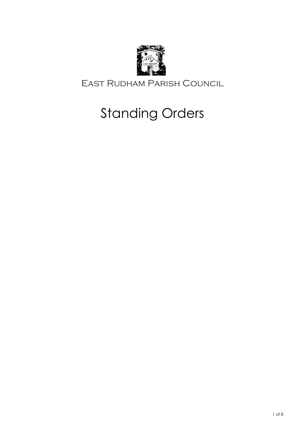

East Rudham Parish Council

# Standing Orders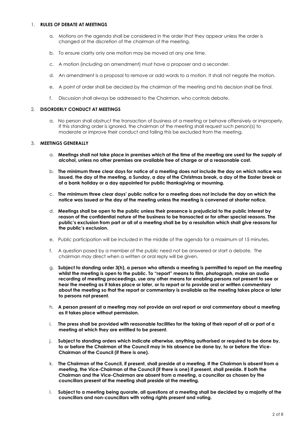#### 1. **RULES OF DEBATE AT MEETINGS**

- a. Motions on the agenda shall be considered in the order that they appear unless the order is changed at the discretion of the chairman of the meeting.
- b. To ensure clarity only one motion may be moved at any one time.
- c. A motion (including an amendment) must have a proposer and a seconder.
- d. An amendment is a proposal to remove or add words to a motion. It shall not negate the motion.
- e. A point of order shall be decided by the chairman of the meeting and his decision shall be final.
- f. Discussion shall always be addressed to the Chairman, who controls debate.

## 2. **DISORDERLY CONDUCT AT MEETINGS**

a. No person shall obstruct the transaction of business at a meeting or behave offensively or improperly. If this standing order is ignored, the chairman of the meeting shall request such person(s) to moderate or improve their conduct and failing this be excluded from the meeting.

## 3. **MEETINGS GENERALLY**

- a. **Meetings shall not take place in premises which at the time of the meeting are used for the supply of alcohol, unless no other premises are available free of charge or at a reasonable cost.**
- b. **The minimum three clear days for notice of a meeting does not include the day on which notice was issued, the day of the meeting, a Sunday, a day of the Christmas break, a day of the Easter break or of a bank holiday or a day appointed for public thanksgiving or mourning.**
- c. **The minimum three clear days' public notice for a meeting does not include the day on which the notice was issued or the day of the meeting unless the meeting is convened at shorter notice.**
- d. **Meetings shall be open to the public unless their presence is prejudicial to the public interest by reason of the confidential nature of the business to be transacted or for other special reasons. The public's exclusion from part or all of a meeting shall be by a resolution which shall give reasons for the public's exclusion.**
- e. Public participation will be included in the middle of the agenda for a maximum of 15 minutes.
- f. A question posed by a member of the public need not be answered or start a debate. The chairman may direct when a written or oral reply will be given.
- g. **Subject to standing order 3(h), a person who attends a meeting is permitted to report on the meeting whilst the meeting is open to the public. To "report" means to film, photograph, make an audio recording of meeting proceedings, use any other means for enabling persons not present to see or hear the meeting as it takes place or later, or to report or to provide oral or written commentary about the meeting so that the report or commentary is available as the meeting takes place or later to persons not present.**
- h. **A person present at a meeting may not provide an oral report or oral commentary about a meeting as it takes place without permission.**
- i. **The press shall be provided with reasonable facilities for the taking of their report of all or part of a meeting at which they are entitled to be present.**
- j. **Subject to standing orders which indicate otherwise, anything authorised or required to be done by, to or before the Chairman of the Council may in his absence be done by, to or before the Vice-Chairman of the Council (if there is one).**
- k. **The Chairman of the Council, if present, shall preside at a meeting. If the Chairman is absent from a meeting, the Vice-Chairman of the Council (if there is one) if present, shall preside. If both the Chairman and the Vice-Chairman are absent from a meeting, a councillor as chosen by the councillors present at the meeting shall preside at the meeting.**
- l. **Subject to a meeting being quorate, all questions at a meeting shall be decided by a majority of the councillors and non-councillors with voting rights present and voting.**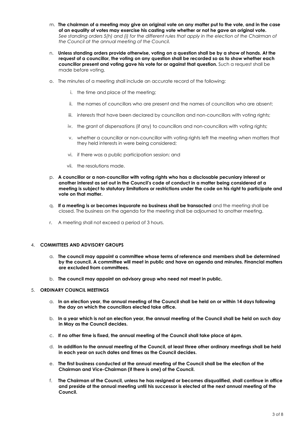- m. **The chairman of a meeting may give an original vote on any matter put to the vote, and in the case of an equality of votes may exercise his casting vote whether or not he gave an original vote.** See standing orders 5(h) and (i) for the different rules that apply in the election of the Chairman of *the Council at the annual meeting of the Council.*
- n. **Unless standing orders provide otherwise, voting on a question shall be by a show of hands. At the request of a councillor, the voting on any question shall be recorded so as to show whether each councillor present and voting gave his vote for or against that question.** Such a request shall be made before voting.
- o. The minutes of a meeting shall include an accurate record of the following:
	- i. the time and place of the meeting;
	- ii. the names of councillors who are present and the names of councillors who are absent;
	- iii. interests that have been declared by councillors and non-councillors with voting rights;
	- iv. the grant of dispensations (if any) to councillors and non-councillors with voting rights;
	- v. whether a councillor or non-councillor with voting rights left the meeting when matters that they held interests in were being considered;
	- vi. if there was a public participation session; and
	- vii. the resolutions made.
- p. **A councillor or a non-councillor with voting rights who has a disclosable pecuniary interest or another interest as set out in the Council's code of conduct in a matter being considered at a meeting is subject to statutory limitations or restrictions under the code on his right to participate and vote on that matter.**
- q. **If a meeting is or becomes inquorate no business shall be transacted** and the meeting shall be closed. The business on the agenda for the meeting shall be adjourned to another meeting.
- r. A meeting shall not exceed a period of 3 hours.

## 4. **COMMITTEES AND ADVISORY GROUPS**

- a. **The council may appoint a committee whose terms of reference and members shall be determined by the council. A committee will meet in public and have an agenda and minutes. Financial matters are excluded from committees.**
- b. **The council may appoint an advisory group who need not meet in public.**

#### 5. **ORDINARY COUNCIL MEETINGS**

- a. **In an election year, the annual meeting of the Council shall be held on or within 14 days following the day on which the councillors elected take office.**
- b. **In a year which is not an election year, the annual meeting of the Council shall be held on such day in May as the Council decides.**
- c. **If no other time is fixed, the annual meeting of the Council shall take place at 6pm.**
- d. **In addition to the annual meeting of the Council, at least three other ordinary meetings shall be held in each year on such dates and times as the Council decides.**
- e. **The first business conducted at the annual meeting of the Council shall be the election of the Chairman and Vice-Chairman (if there is one) of the Council.**
- f. **The Chairman of the Council, unless he has resigned or becomes disqualified, shall continue in office and preside at the annual meeting until his successor is elected at the next annual meeting of the Council.**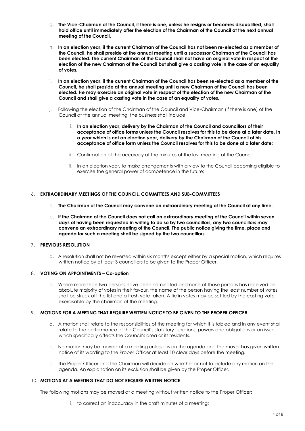- g. **The Vice-Chairman of the Council, if there is one, unless he resigns or becomes disqualified, shall hold office until immediately after the election of the Chairman of the Council at the next annual meeting of the Council.**
- h. **In an election year, if the current Chairman of the Council has not been re-elected as a member of the Council, he shall preside at the annual meeting until a successor Chairman of the Council has been elected. The current Chairman of the Council shall not have an original vote in respect of the election of the new Chairman of the Council but shall give a casting vote in the case of an equality of votes.**
- i. **In an election year, if the current Chairman of the Council has been re-elected as a member of the Council, he shall preside at the annual meeting until a new Chairman of the Council has been elected. He may exercise an original vote in respect of the election of the new Chairman of the Council and shall give a casting vote in the case of an equality of votes.**
- j. Following the election of the Chairman of the Council and Vice-Chairman (if there is one) of the Council at the annual meeting, the business shall include:
	- i. **In an election year, delivery by the Chairman of the Council and councillors of their acceptance of office forms unless the Council resolves for this to be done at a later date. In a year which is not an election year, delivery by the Chairman of the Council of his acceptance of office form unless the Council resolves for this to be done at a later date;**
	- ii. Confirmation of the accuracy of the minutes of the last meeting of the Council;
	- iii. In an election year, to make arrangements with a view to the Council becoming eligible to exercise the general power of competence in the future;

#### 6. **EXTRAORDINARY MEETINGS OF THE COUNCIL, COMMITTEES AND SUB-COMMITTEES**

- a. **The Chairman of the Council may convene an extraordinary meeting of the Council at any time.**
- b. **If the Chairman of the Council does not call an extraordinary meeting of the Council within seven days of having been requested in writing to do so by two councillors, any two councillors may convene an extraordinary meeting of the Council. The public notice giving the time, place and agenda for such a meeting shall be signed by the two councillors.**

## 7. **PREVIOUS RESOLUTION**

a. A resolution shall not be reversed within six months except either by a special motion, which requires written notice by at least 3 councillors to be given to the Proper Officer.

#### 8. **VOTING ON APPOINTMENTS – Co-option**

a. Where more than two persons have been nominated and none of those persons has received an absolute majority of votes in their favour, the name of the person having the least number of votes shall be struck off the list and a fresh vote taken. A tie in votes may be settled by the casting vote exercisable by the chairman of the meeting.

#### 9. **MOTIONS FOR A MEETING THAT REQUIRE WRITTEN NOTICE TO BE GIVEN TO THE PROPER OFFICER**

- a. A motion shall relate to the responsibilities of the meeting for which it is tabled and in any event shall relate to the performance of the Council's statutory functions, powers and obligations or an issue which specifically affects the Council's area or its residents.
- b. No motion may be moved at a meeting unless it is on the agenda and the mover has given written notice of its wording to the Proper Officer at least 10 clear days before the meeting.
- c. The Proper Officer and the Chairman will decide on whether or not to include any motion on the agenda. An explanation on its exclusion shall be given by the Proper Officer.

#### 10. **MOTIONS AT A MEETING THAT DO NOT REQUIRE WRITTEN NOTICE**

The following motions may be moved at a meeting without written notice to the Proper Officer:

i. to correct an inaccuracy in the draft minutes of a meeting;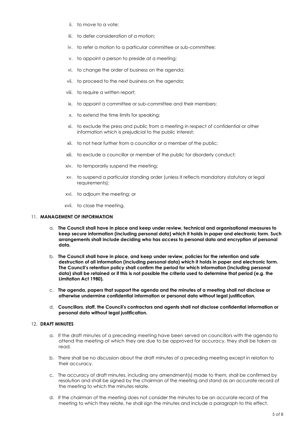- ii. to move to a vote;
- iii. to defer consideration of a motion;
- iv. to refer a motion to a particular committee or sub-committee;
- v. to appoint a person to preside at a meeting;
- vi. to change the order of business on the agenda;
- vii. to proceed to the next business on the agenda;
- viii. to require a written report;
- ix. to appoint a committee or sub-committee and their members;
- x. to extend the time limits for speaking;
- xi. to exclude the press and public from a meeting in respect of confidential or other information which is prejudicial to the public interest;
- xii. to not hear further from a councillor or a member of the public;
- xiii. to exclude a councillor or member of the public for disorderly conduct;
- xiv. to temporarily suspend the meeting;
- xv. to suspend a particular standing order (unless it reflects mandatory statutory or legal requirements);
- xvi. to adjourn the meeting; or
- xvii. to close the meeting.

#### 11. **MANAGEMENT OF INFORMATION**

- a. **The Council shall have in place and keep under review, technical and organisational measures to keep secure information (including personal data) which it holds in paper and electronic form. Such arrangements shall include deciding who has access to personal data and encryption of personal data.**
- b. **The Council shall have in place, and keep under review, policies for the retention and safe destruction of all information (including personal data) which it holds in paper and electronic form. The Council's retention policy shall confirm the period for which information (including personal data) shall be retained or if this is not possible the criteria used to determine that period (e.g. the Limitation Act 1980).**
- c. **The agenda, papers that support the agenda and the minutes of a meeting shall not disclose or otherwise undermine confidential information or personal data without legal justification.**
- d. **Councillors, staff, the Council's contractors and agents shall not disclose confidential information or personal data without legal justification.**

# 12. **DRAFT MINUTES**

- a. If the draft minutes of a preceding meeting have been served on councillors with the agenda to attend the meeting at which they are due to be approved for accuracy, they shall be taken as read.
- b. There shall be no discussion about the draft minutes of a preceding meeting except in relation to their accuracy.
- c. The accuracy of draft minutes, including any amendment(s) made to them, shall be confirmed by resolution and shall be signed by the chairman of the meeting and stand as an accurate record of the meeting to which the minutes relate.
- d. If the chairman of the meeting does not consider the minutes to be an accurate record of the meeting to which they relate, he shall sign the minutes and include a paragraph to this effect.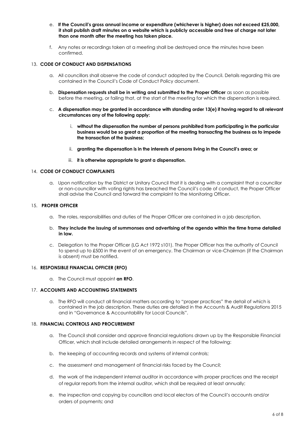- e. **If the Council's gross annual income or expenditure (whichever is higher) does not exceed £25,000, it shall publish draft minutes on a website which is publicly accessible and free of charge not later than one month after the meeting has taken place.**
- f. Any notes or recordings taken at a meeting shall be destroyed once the minutes have been confirmed.

## 13. **CODE OF CONDUCT AND DISPENSATIONS**

- a. All councillors shall observe the code of conduct adopted by the Council. Details regarding this are contained in the Council's Code of Conduct Policy document.
- b. **Dispensation requests shall be in writing and submitted to the Proper Officer** as soon as possible before the meeting, or failing that, at the start of the meeting for which the dispensation is required.
- c. **A dispensation may be granted in accordance with standing order 13(e) if having regard to all relevant circumstances any of the following apply:**
	- i. **without the dispensation the number of persons prohibited from participating in the particular business would be so great a proportion of the meeting transacting the business as to impede the transaction of the business;**
	- ii. **granting the dispensation is in the interests of persons living in the Council's area; or**
	- iii. **it is otherwise appropriate to grant a dispensation.**

#### 14. **CODE OF CONDUCT COMPLAINTS**

a. Upon notification by the District or Unitary Council that it is dealing with a complaint that a councillor or non-councillor with voting rights has breached the Council's code of conduct, the Proper Officer shall advise the Council and forward the complaint to the Monitoring Officer.

#### 15. **PROPER OFFICER**

- a. The roles, responsibilities and duties of the Proper Officer are contained in a job description.
- b. **They include the issuing of summonses and advertising of the agenda within the time frame detailed in law.**
- c. Delegation to the Proper Officer (LG Act 1972 s101). The Proper Officer has the authority of Council to spend up to £500 in the event of an emergency. The Chairman or vice-Chairman (if the Chairman is absent) must be notified.

#### 16. **RESPONSIBLE FINANCIAL OFFICER (RFO)**

a. The Council must appoint **an RFO**.

#### 17. **ACCOUNTS AND ACCOUNTING STATEMENTS**

a. The RFO will conduct all financial matters according to "proper practices" the detail of which is contained in the job description. These duties are detailed in the Accounts & Audit Regulations 2015 and in "Governance & Accountability for Local Councils".

## 18. **FINANCIAL CONTROLS AND PROCUREMENT**

- a. The Council shall consider and approve financial regulations drawn up by the Responsible Financial Officer, which shall include detailed arrangements in respect of the following:
- b. the keeping of accounting records and systems of internal controls;
- c. the assessment and management of financial risks faced by the Council;
- d. the work of the independent internal auditor in accordance with proper practices and the receipt of regular reports from the internal auditor, which shall be required at least annually;
- e. the inspection and copying by councillors and local electors of the Council's accounts and/or orders of payments; and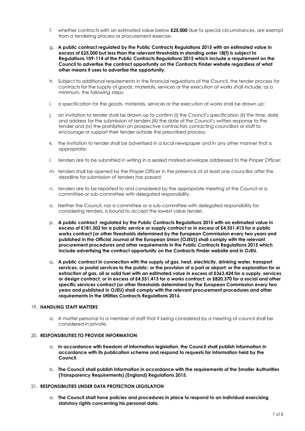- f. whether contracts with an estimated value below **£25,000** due to special circumstances, are exempt from a tendering process or procurement exercise.
- g. **A public contract regulated by the Public Contracts Regulations 2015 with an estimated value in excess of £25,000 but less than the relevant thresholds in standing order 18(f) is subject to Regulations 109-114 of the Public Contracts Regulations 2015 which include a requirement on the Council to advertise the contract opportunity on the Contracts Finder website regardless of what other means it uses to advertise the opportunity.**
- h. Subject to additional requirements in the financial regulations of the Council, the tender process for contracts for the supply of goods, materials, services or the execution of works shall include, as a minimum, the following steps:
- i. a specification for the goods, materials, services or the execution of works shall be drawn up;
- j. an invitation to tender shall be drawn up to confirm (i) the Council's specification (ii) the time, date and address for the submission of tenders (iii) the date of the Council's written response to the tender and (iv) the prohibition on prospective contractors contacting councillors or staff to encourage or support their tender outside the prescribed process;
- k. the invitation to tender shall be advertised in a local newspaper and in any other manner that is appropriate;
- l. tenders are to be submitted in writing in a sealed marked envelope addressed to the Proper Officer;
- m. tenders shall be opened by the Proper Officer in the presence of at least one councillor after the deadline for submission of tenders has passed;
- n. tenders are to be reported to and considered by the appropriate meeting of the Council or a committee or sub-committee with delegated responsibility.
- o. Neither the Council, nor a committee or a sub-committee with delegated responsibility for considering tenders, is bound to accept the lowest value tender.
- p. **A public contract regulated by the Public Contracts Regulations 2015 with an estimated value in excess of £181,302 for a public service or supply contract or in excess of £4,551,413 for a public works contract (or other thresholds determined by the European Commission every two years and published in the Official Journal of the European Union (OJEU)) shall comply with the relevant procurement procedures and other requirements in the Public Contracts Regulations 2015 which include advertising the contract opportunity on the Contracts Finder website and in OJEU.**
- q. **A public contract in connection with the supply of gas, heat, electricity, drinking water, transport services, or postal services to the public; or the provision of a port or airport; or the exploration for or extraction of gas, oil or solid fuel with an estimated value in excess of £363,424 for a supply, services or design contract; or in excess of £4,551,413 for a works contract; or £820,370 for a social and other specific services contract (or other thresholds determined by the European Commission every two years and published in OJEU) shall comply with the relevant procurement procedures and other requirements in the Utilities Contracts Regulations 2016.**

#### 19. **HANDLING STAFF MATTERS**

a. A matter personal to a member of staff that if being considered by a meeting of council shall be considered in private.

# 20. **RESPONSIBILITIES TO PROVIDE INFORMATION**

- a. **In accordance with freedom of information legislation, the Council shall publish information in accordance with its publication scheme and respond to requests for information held by the Council.**
- b. **The Council shall publish information in accordance with the requirements of the Smaller Authorities (Transparency Requirements) (England) Regulations 2015.**

#### 21. **RESPONSIBILITIES UNDER DATA PROTECTION LEGISLATION**

a. **The Council shall have policies and procedures in place to respond to an individual exercising statutory rights concerning his personal data.**